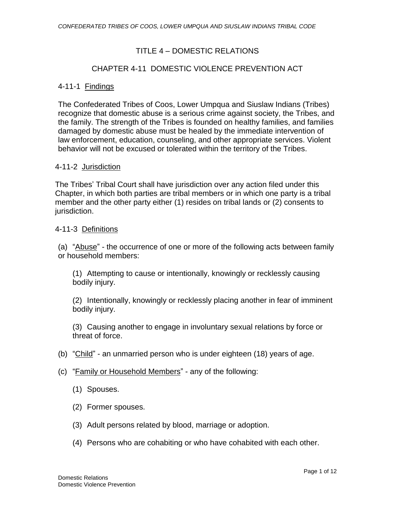### TITLE 4 – DOMESTIC RELATIONS

### CHAPTER 4-11 DOMESTIC VIOLENCE PREVENTION ACT

#### 4-11-1 Findings

The Confederated Tribes of Coos, Lower Umpqua and Siuslaw Indians (Tribes) recognize that domestic abuse is a serious crime against society, the Tribes, and the family. The strength of the Tribes is founded on healthy families, and families damaged by domestic abuse must be healed by the immediate intervention of law enforcement, education, counseling, and other appropriate services. Violent behavior will not be excused or tolerated within the territory of the Tribes.

#### 4-11-2 Jurisdiction

The Tribes' Tribal Court shall have jurisdiction over any action filed under this Chapter, in which both parties are tribal members or in which one party is a tribal member and the other party either (1) resides on tribal lands or (2) consents to jurisdiction.

#### 4-11-3 Definitions

(a) "Abuse" - the occurrence of one or more of the following acts between family or household members:

(1) Attempting to cause or intentionally, knowingly or recklessly causing bodily injury.

(2) Intentionally, knowingly or recklessly placing another in fear of imminent bodily injury.

(3) Causing another to engage in involuntary sexual relations by force or threat of force.

- (b) "Child" an unmarried person who is under eighteen (18) years of age.
- (c) "Family or Household Members" any of the following:
	- (1) Spouses.
	- (2) Former spouses.
	- (3) Adult persons related by blood, marriage or adoption.
	- (4) Persons who are cohabiting or who have cohabited with each other.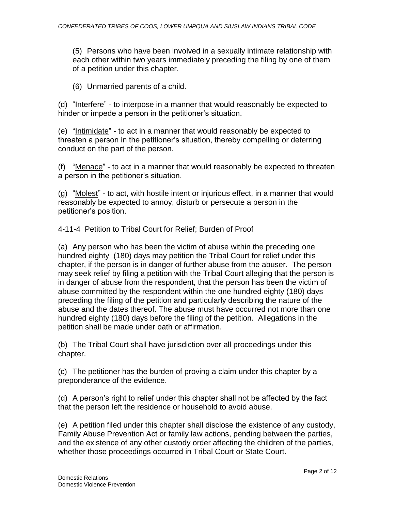(5) Persons who have been involved in a sexually intimate relationship with each other within two years immediately preceding the filing by one of them of a petition under this chapter.

(6) Unmarried parents of a child.

(d) "Interfere" - to interpose in a manner that would reasonably be expected to hinder or impede a person in the petitioner's situation.

(e) "Intimidate" - to act in a manner that would reasonably be expected to threaten a person in the petitioner's situation, thereby compelling or deterring conduct on the part of the person.

(f) "Menace" - to act in a manner that would reasonably be expected to threaten a person in the petitioner's situation.

(g) "Molest" - to act, with hostile intent or injurious effect, in a manner that would reasonably be expected to annoy, disturb or persecute a person in the petitioner's position.

## 4-11-4 Petition to Tribal Court for Relief; Burden of Proof

(a) Any person who has been the victim of abuse within the preceding one hundred eighty (180) days may petition the Tribal Court for relief under this chapter, if the person is in danger of further abuse from the abuser. The person may seek relief by filing a petition with the Tribal Court alleging that the person is in danger of abuse from the respondent, that the person has been the victim of abuse committed by the respondent within the one hundred eighty (180) days preceding the filing of the petition and particularly describing the nature of the abuse and the dates thereof. The abuse must have occurred not more than one hundred eighty (180) days before the filing of the petition. Allegations in the petition shall be made under oath or affirmation.

(b) The Tribal Court shall have jurisdiction over all proceedings under this chapter.

(c) The petitioner has the burden of proving a claim under this chapter by a preponderance of the evidence.

(d) A person's right to relief under this chapter shall not be affected by the fact that the person left the residence or household to avoid abuse.

(e) A petition filed under this chapter shall disclose the existence of any custody, Family Abuse Prevention Act or family law actions, pending between the parties, and the existence of any other custody order affecting the children of the parties, whether those proceedings occurred in Tribal Court or State Court.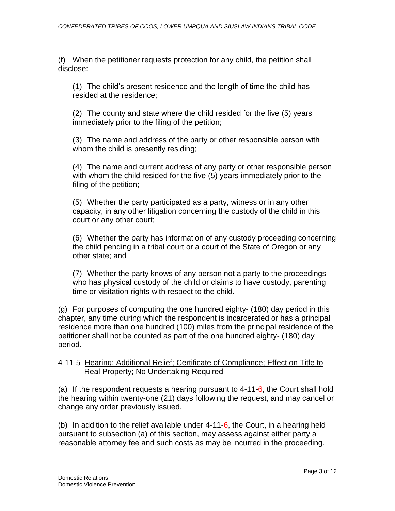(f) When the petitioner requests protection for any child, the petition shall disclose:

(1) The child's present residence and the length of time the child has resided at the residence;

(2) The county and state where the child resided for the five (5) years immediately prior to the filing of the petition;

(3) The name and address of the party or other responsible person with whom the child is presently residing;

(4) The name and current address of any party or other responsible person with whom the child resided for the five (5) years immediately prior to the filing of the petition;

(5) Whether the party participated as a party, witness or in any other capacity, in any other litigation concerning the custody of the child in this court or any other court;

(6) Whether the party has information of any custody proceeding concerning the child pending in a tribal court or a court of the State of Oregon or any other state; and

(7) Whether the party knows of any person not a party to the proceedings who has physical custody of the child or claims to have custody, parenting time or visitation rights with respect to the child.

(g) For purposes of computing the one hundred eighty- (180) day period in this chapter, any time during which the respondent is incarcerated or has a principal residence more than one hundred (100) miles from the principal residence of the petitioner shall not be counted as part of the one hundred eighty- (180) day period.

### 4-11-5 Hearing; Additional Relief; Certificate of Compliance; Effect on Title to Real Property; No Undertaking Required

(a) If the respondent requests a hearing pursuant to  $4-11-6$ , the Court shall hold the hearing within twenty-one (21) days following the request, and may cancel or change any order previously issued.

(b) In addition to the relief available under 4-11-6, the Court, in a hearing held pursuant to subsection (a) of this section, may assess against either party a reasonable attorney fee and such costs as may be incurred in the proceeding.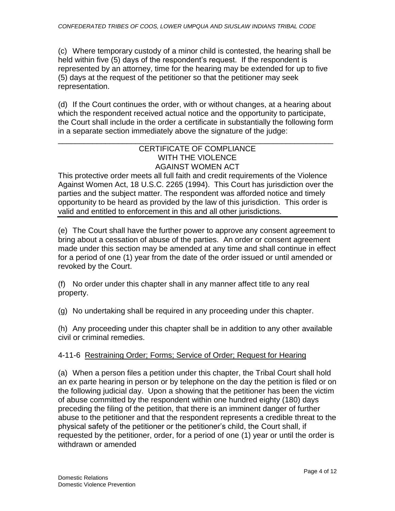(c) Where temporary custody of a minor child is contested, the hearing shall be held within five (5) days of the respondent's request. If the respondent is represented by an attorney, time for the hearing may be extended for up to five (5) days at the request of the petitioner so that the petitioner may seek representation.

(d) If the Court continues the order, with or without changes, at a hearing about which the respondent received actual notice and the opportunity to participate, the Court shall include in the order a certificate in substantially the following form in a separate section immediately above the signature of the judge:

### \_\_\_\_\_\_\_\_\_\_\_\_\_\_\_\_\_\_\_\_\_\_\_\_\_\_\_\_\_\_\_\_\_\_\_\_\_\_\_\_\_\_\_\_\_\_\_\_\_\_\_\_\_\_\_\_\_\_\_\_\_\_\_\_ CERTIFICATE OF COMPLIANCE WITH THE VIOLENCE AGAINST WOMEN ACT

This protective order meets all full faith and credit requirements of the Violence Against Women Act, 18 U.S.C. 2265 (1994). This Court has jurisdiction over the parties and the subject matter. The respondent was afforded notice and timely opportunity to be heard as provided by the law of this jurisdiction. This order is valid and entitled to enforcement in this and all other jurisdictions.

(e) The Court shall have the further power to approve any consent agreement to bring about a cessation of abuse of the parties. An order or consent agreement made under this section may be amended at any time and shall continue in effect for a period of one (1) year from the date of the order issued or until amended or revoked by the Court.

(f) No order under this chapter shall in any manner affect title to any real property.

(g) No undertaking shall be required in any proceeding under this chapter.

(h) Any proceeding under this chapter shall be in addition to any other available civil or criminal remedies.

# 4-11-6 Restraining Order; Forms; Service of Order; Request for Hearing

(a) When a person files a petition under this chapter, the Tribal Court shall hold an ex parte hearing in person or by telephone on the day the petition is filed or on the following judicial day. Upon a showing that the petitioner has been the victim of abuse committed by the respondent within one hundred eighty (180) days preceding the filing of the petition, that there is an imminent danger of further abuse to the petitioner and that the respondent represents a credible threat to the physical safety of the petitioner or the petitioner's child, the Court shall, if requested by the petitioner, order, for a period of one (1) year or until the order is withdrawn or amended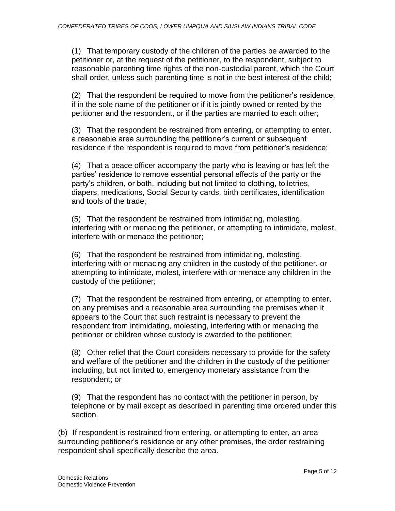(1) That temporary custody of the children of the parties be awarded to the petitioner or, at the request of the petitioner, to the respondent, subject to reasonable parenting time rights of the non-custodial parent, which the Court shall order, unless such parenting time is not in the best interest of the child;

(2) That the respondent be required to move from the petitioner's residence, if in the sole name of the petitioner or if it is jointly owned or rented by the petitioner and the respondent, or if the parties are married to each other;

(3) That the respondent be restrained from entering, or attempting to enter, a reasonable area surrounding the petitioner's current or subsequent residence if the respondent is required to move from petitioner's residence;

(4) That a peace officer accompany the party who is leaving or has left the parties' residence to remove essential personal effects of the party or the party's children, or both, including but not limited to clothing, toiletries, diapers, medications, Social Security cards, birth certificates, identification and tools of the trade;

(5) That the respondent be restrained from intimidating, molesting, interfering with or menacing the petitioner, or attempting to intimidate, molest, interfere with or menace the petitioner;

(6) That the respondent be restrained from intimidating, molesting, interfering with or menacing any children in the custody of the petitioner, or attempting to intimidate, molest, interfere with or menace any children in the custody of the petitioner;

(7) That the respondent be restrained from entering, or attempting to enter, on any premises and a reasonable area surrounding the premises when it appears to the Court that such restraint is necessary to prevent the respondent from intimidating, molesting, interfering with or menacing the petitioner or children whose custody is awarded to the petitioner;

(8) Other relief that the Court considers necessary to provide for the safety and welfare of the petitioner and the children in the custody of the petitioner including, but not limited to, emergency monetary assistance from the respondent; or

(9) That the respondent has no contact with the petitioner in person, by telephone or by mail except as described in parenting time ordered under this section.

(b) If respondent is restrained from entering, or attempting to enter, an area surrounding petitioner's residence or any other premises, the order restraining respondent shall specifically describe the area.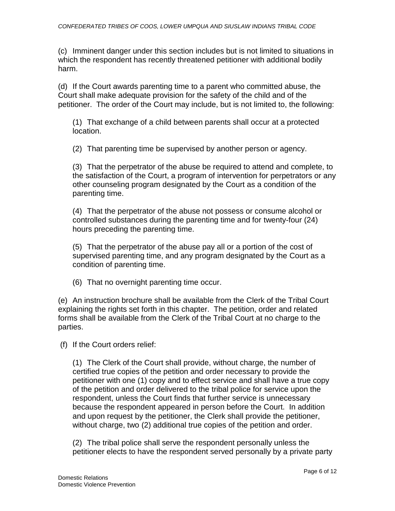(c) Imminent danger under this section includes but is not limited to situations in which the respondent has recently threatened petitioner with additional bodily harm.

(d) If the Court awards parenting time to a parent who committed abuse, the Court shall make adequate provision for the safety of the child and of the petitioner. The order of the Court may include, but is not limited to, the following:

(1) That exchange of a child between parents shall occur at a protected location.

(2) That parenting time be supervised by another person or agency.

(3) That the perpetrator of the abuse be required to attend and complete, to the satisfaction of the Court, a program of intervention for perpetrators or any other counseling program designated by the Court as a condition of the parenting time.

(4) That the perpetrator of the abuse not possess or consume alcohol or controlled substances during the parenting time and for twenty-four (24) hours preceding the parenting time.

(5) That the perpetrator of the abuse pay all or a portion of the cost of supervised parenting time, and any program designated by the Court as a condition of parenting time.

(6) That no overnight parenting time occur.

(e) An instruction brochure shall be available from the Clerk of the Tribal Court explaining the rights set forth in this chapter. The petition, order and related forms shall be available from the Clerk of the Tribal Court at no charge to the parties.

(f) If the Court orders relief:

(1) The Clerk of the Court shall provide, without charge, the number of certified true copies of the petition and order necessary to provide the petitioner with one (1) copy and to effect service and shall have a true copy of the petition and order delivered to the tribal police for service upon the respondent, unless the Court finds that further service is unnecessary because the respondent appeared in person before the Court. In addition and upon request by the petitioner, the Clerk shall provide the petitioner, without charge, two (2) additional true copies of the petition and order.

(2) The tribal police shall serve the respondent personally unless the petitioner elects to have the respondent served personally by a private party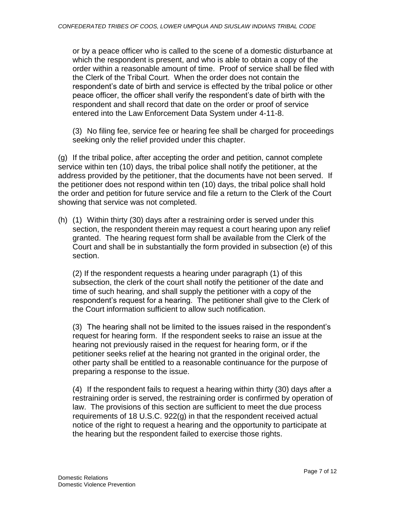or by a peace officer who is called to the scene of a domestic disturbance at which the respondent is present, and who is able to obtain a copy of the order within a reasonable amount of time. Proof of service shall be filed with the Clerk of the Tribal Court. When the order does not contain the respondent's date of birth and service is effected by the tribal police or other peace officer, the officer shall verify the respondent's date of birth with the respondent and shall record that date on the order or proof of service entered into the Law Enforcement Data System under 4-11-8.

(3) No filing fee, service fee or hearing fee shall be charged for proceedings seeking only the relief provided under this chapter.

(g) If the tribal police, after accepting the order and petition, cannot complete service within ten (10) days, the tribal police shall notify the petitioner, at the address provided by the petitioner, that the documents have not been served. If the petitioner does not respond within ten (10) days, the tribal police shall hold the order and petition for future service and file a return to the Clerk of the Court showing that service was not completed.

(h) (1) Within thirty (30) days after a restraining order is served under this section, the respondent therein may request a court hearing upon any relief granted. The hearing request form shall be available from the Clerk of the Court and shall be in substantially the form provided in subsection (e) of this section.

(2) If the respondent requests a hearing under paragraph (1) of this subsection, the clerk of the court shall notify the petitioner of the date and time of such hearing, and shall supply the petitioner with a copy of the respondent's request for a hearing. The petitioner shall give to the Clerk of the Court information sufficient to allow such notification.

(3) The hearing shall not be limited to the issues raised in the respondent's request for hearing form. If the respondent seeks to raise an issue at the hearing not previously raised in the request for hearing form, or if the petitioner seeks relief at the hearing not granted in the original order, the other party shall be entitled to a reasonable continuance for the purpose of preparing a response to the issue.

(4) If the respondent fails to request a hearing within thirty (30) days after a restraining order is served, the restraining order is confirmed by operation of law. The provisions of this section are sufficient to meet the due process requirements of 18 U.S.C. 922(g) in that the respondent received actual notice of the right to request a hearing and the opportunity to participate at the hearing but the respondent failed to exercise those rights.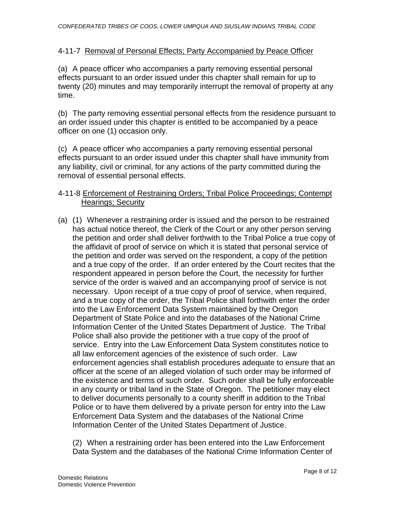## 4-11-7 Removal of Personal Effects; Party Accompanied by Peace Officer

(a) A peace officer who accompanies a party removing essential personal effects pursuant to an order issued under this chapter shall remain for up to twenty (20) minutes and may temporarily interrupt the removal of property at any time.

(b) The party removing essential personal effects from the residence pursuant to an order issued under this chapter is entitled to be accompanied by a peace officer on one (1) occasion only.

(c) A peace officer who accompanies a party removing essential personal effects pursuant to an order issued under this chapter shall have immunity from any liability, civil or criminal, for any actions of the party committed during the removal of essential personal effects.

### 4-11-8 Enforcement of Restraining Orders; Tribal Police Proceedings; Contempt Hearings; Security

(a) (1) Whenever a restraining order is issued and the person to be restrained has actual notice thereof, the Clerk of the Court or any other person serving the petition and order shall deliver forthwith to the Tribal Police a true copy of the affidavit of proof of service on which it is stated that personal service of the petition and order was served on the respondent, a copy of the petition and a true copy of the order. If an order entered by the Court recites that the respondent appeared in person before the Court, the necessity for further service of the order is waived and an accompanying proof of service is not necessary. Upon receipt of a true copy of proof of service, when required, and a true copy of the order, the Tribal Police shall forthwith enter the order into the Law Enforcement Data System maintained by the Oregon Department of State Police and into the databases of the National Crime Information Center of the United States Department of Justice. The Tribal Police shall also provide the petitioner with a true copy of the proof of service. Entry into the Law Enforcement Data System constitutes notice to all law enforcement agencies of the existence of such order. Law enforcement agencies shall establish procedures adequate to ensure that an officer at the scene of an alleged violation of such order may be informed of the existence and terms of such order. Such order shall be fully enforceable in any county or tribal land in the State of Oregon. The petitioner may elect to deliver documents personally to a county sheriff in addition to the Tribal Police or to have them delivered by a private person for entry into the Law Enforcement Data System and the databases of the National Crime Information Center of the United States Department of Justice.

(2) When a restraining order has been entered into the Law Enforcement Data System and the databases of the National Crime Information Center of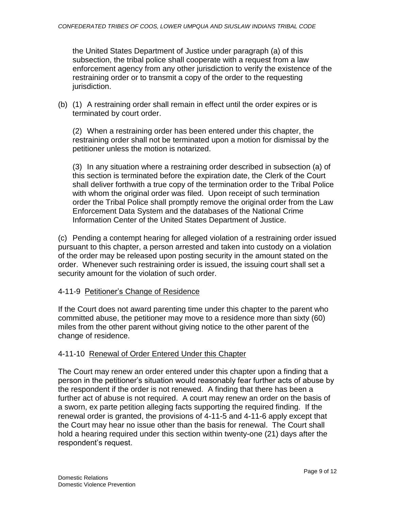the United States Department of Justice under paragraph (a) of this subsection, the tribal police shall cooperate with a request from a law enforcement agency from any other jurisdiction to verify the existence of the restraining order or to transmit a copy of the order to the requesting jurisdiction.

(b) (1) A restraining order shall remain in effect until the order expires or is terminated by court order.

(2) When a restraining order has been entered under this chapter, the restraining order shall not be terminated upon a motion for dismissal by the petitioner unless the motion is notarized.

(3) In any situation where a restraining order described in subsection (a) of this section is terminated before the expiration date, the Clerk of the Court shall deliver forthwith a true copy of the termination order to the Tribal Police with whom the original order was filed. Upon receipt of such termination order the Tribal Police shall promptly remove the original order from the Law Enforcement Data System and the databases of the National Crime Information Center of the United States Department of Justice.

(c) Pending a contempt hearing for alleged violation of a restraining order issued pursuant to this chapter, a person arrested and taken into custody on a violation of the order may be released upon posting security in the amount stated on the order. Whenever such restraining order is issued, the issuing court shall set a security amount for the violation of such order.

# 4-11-9 Petitioner's Change of Residence

If the Court does not award parenting time under this chapter to the parent who committed abuse, the petitioner may move to a residence more than sixty (60) miles from the other parent without giving notice to the other parent of the change of residence.

# 4-11-10 Renewal of Order Entered Under this Chapter

The Court may renew an order entered under this chapter upon a finding that a person in the petitioner's situation would reasonably fear further acts of abuse by the respondent if the order is not renewed. A finding that there has been a further act of abuse is not required. A court may renew an order on the basis of a sworn, ex parte petition alleging facts supporting the required finding. If the renewal order is granted, the provisions of 4-11-5 and 4-11-6 apply except that the Court may hear no issue other than the basis for renewal. The Court shall hold a hearing required under this section within twenty-one (21) days after the respondent's request.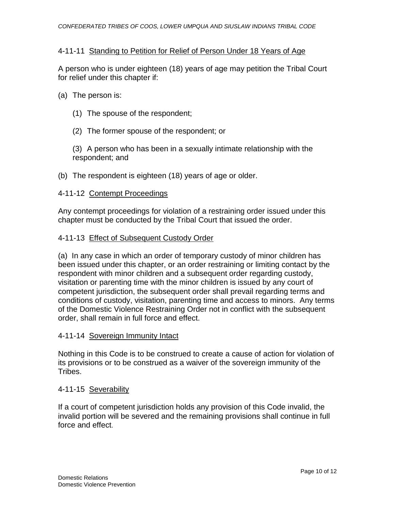### 4-11-11 Standing to Petition for Relief of Person Under 18 Years of Age

A person who is under eighteen (18) years of age may petition the Tribal Court for relief under this chapter if:

### (a) The person is:

- (1) The spouse of the respondent;
- (2) The former spouse of the respondent; or

(3) A person who has been in a sexually intimate relationship with the respondent; and

(b) The respondent is eighteen (18) years of age or older.

### 4-11-12 Contempt Proceedings

Any contempt proceedings for violation of a restraining order issued under this chapter must be conducted by the Tribal Court that issued the order.

#### 4-11-13 Effect of Subsequent Custody Order

(a) In any case in which an order of temporary custody of minor children has been issued under this chapter, or an order restraining or limiting contact by the respondent with minor children and a subsequent order regarding custody, visitation or parenting time with the minor children is issued by any court of competent jurisdiction, the subsequent order shall prevail regarding terms and conditions of custody, visitation, parenting time and access to minors. Any terms of the Domestic Violence Restraining Order not in conflict with the subsequent order, shall remain in full force and effect.

#### 4-11-14 Sovereign Immunity Intact

Nothing in this Code is to be construed to create a cause of action for violation of its provisions or to be construed as a waiver of the sovereign immunity of the Tribes.

#### 4-11-15 Severability

If a court of competent jurisdiction holds any provision of this Code invalid, the invalid portion will be severed and the remaining provisions shall continue in full force and effect.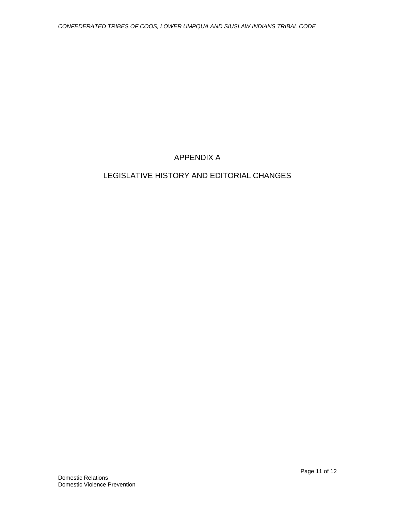# APPENDIX A

# LEGISLATIVE HISTORY AND EDITORIAL CHANGES